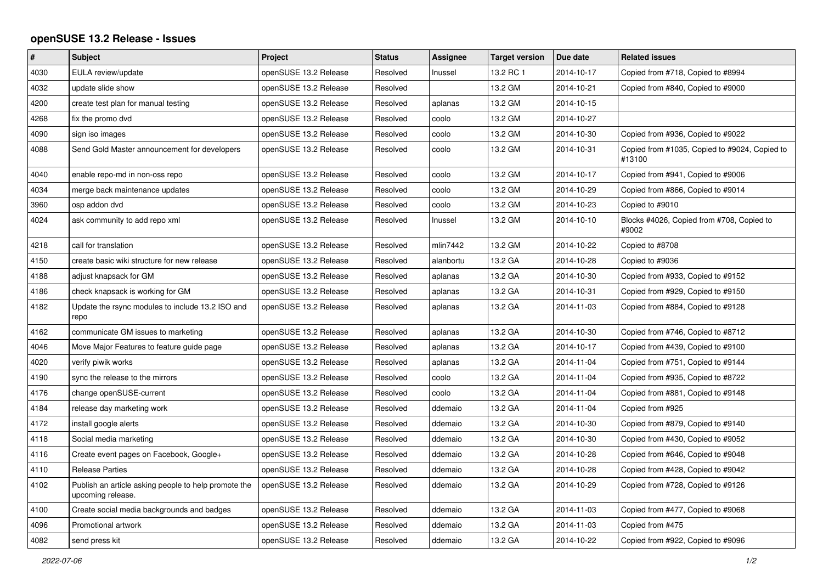## **openSUSE 13.2 Release - Issues**

| #    | <b>Subject</b>                                                            | Project               | <b>Status</b> | Assignee  | <b>Target version</b> | Due date   | <b>Related issues</b>                                   |
|------|---------------------------------------------------------------------------|-----------------------|---------------|-----------|-----------------------|------------|---------------------------------------------------------|
| 4030 | EULA review/update                                                        | openSUSE 13.2 Release | Resolved      | Inussel   | 13.2 RC 1             | 2014-10-17 | Copied from #718, Copied to #8994                       |
| 4032 | update slide show                                                         | openSUSE 13.2 Release | Resolved      |           | 13.2 GM               | 2014-10-21 | Copied from #840, Copied to #9000                       |
| 4200 | create test plan for manual testing                                       | openSUSE 13.2 Release | Resolved      | aplanas   | 13.2 GM               | 2014-10-15 |                                                         |
| 4268 | fix the promo dvd                                                         | openSUSE 13.2 Release | Resolved      | coolo     | 13.2 GM               | 2014-10-27 |                                                         |
| 4090 | sign iso images                                                           | openSUSE 13.2 Release | Resolved      | coolo     | 13.2 GM               | 2014-10-30 | Copied from #936, Copied to #9022                       |
| 4088 | Send Gold Master announcement for developers                              | openSUSE 13.2 Release | Resolved      | coolo     | 13.2 GM               | 2014-10-31 | Copied from #1035, Copied to #9024, Copied to<br>#13100 |
| 4040 | enable repo-md in non-oss repo                                            | openSUSE 13.2 Release | Resolved      | coolo     | 13.2 GM               | 2014-10-17 | Copied from #941, Copied to #9006                       |
| 4034 | merge back maintenance updates                                            | openSUSE 13.2 Release | Resolved      | coolo     | 13.2 GM               | 2014-10-29 | Copied from #866, Copied to #9014                       |
| 3960 | osp addon dvd                                                             | openSUSE 13.2 Release | Resolved      | coolo     | 13.2 GM               | 2014-10-23 | Copied to #9010                                         |
| 4024 | ask community to add repo xml                                             | openSUSE 13.2 Release | Resolved      | Inussel   | 13.2 GM               | 2014-10-10 | Blocks #4026, Copied from #708, Copied to<br>#9002      |
| 4218 | call for translation                                                      | openSUSE 13.2 Release | Resolved      | mlin7442  | 13.2 GM               | 2014-10-22 | Copied to #8708                                         |
| 4150 | create basic wiki structure for new release                               | openSUSE 13.2 Release | Resolved      | alanbortu | 13.2 GA               | 2014-10-28 | Copied to #9036                                         |
| 4188 | adjust knapsack for GM                                                    | openSUSE 13.2 Release | Resolved      | aplanas   | 13.2 GA               | 2014-10-30 | Copied from #933, Copied to #9152                       |
| 4186 | check knapsack is working for GM                                          | openSUSE 13.2 Release | Resolved      | aplanas   | 13.2 GA               | 2014-10-31 | Copied from #929, Copied to #9150                       |
| 4182 | Update the rsync modules to include 13.2 ISO and<br>repo                  | openSUSE 13.2 Release | Resolved      | aplanas   | 13.2 GA               | 2014-11-03 | Copied from #884, Copied to #9128                       |
| 4162 | communicate GM issues to marketing                                        | openSUSE 13.2 Release | Resolved      | aplanas   | 13.2 GA               | 2014-10-30 | Copied from #746, Copied to #8712                       |
| 4046 | Move Major Features to feature guide page                                 | openSUSE 13.2 Release | Resolved      | aplanas   | 13.2 GA               | 2014-10-17 | Copied from #439, Copied to #9100                       |
| 4020 | verify piwik works                                                        | openSUSE 13.2 Release | Resolved      | aplanas   | 13.2 GA               | 2014-11-04 | Copied from #751, Copied to #9144                       |
| 4190 | sync the release to the mirrors                                           | openSUSE 13.2 Release | Resolved      | coolo     | 13.2 GA               | 2014-11-04 | Copied from #935, Copied to #8722                       |
| 4176 | change openSUSE-current                                                   | openSUSE 13.2 Release | Resolved      | coolo     | 13.2 GA               | 2014-11-04 | Copied from #881, Copied to #9148                       |
| 4184 | release day marketing work                                                | openSUSE 13.2 Release | Resolved      | ddemaio   | 13.2 GA               | 2014-11-04 | Copied from #925                                        |
| 4172 | install google alerts                                                     | openSUSE 13.2 Release | Resolved      | ddemaio   | 13.2 GA               | 2014-10-30 | Copied from #879, Copied to #9140                       |
| 4118 | Social media marketing                                                    | openSUSE 13.2 Release | Resolved      | ddemaio   | 13.2 GA               | 2014-10-30 | Copied from #430, Copied to #9052                       |
| 4116 | Create event pages on Facebook, Google+                                   | openSUSE 13.2 Release | Resolved      | ddemaio   | 13.2 GA               | 2014-10-28 | Copied from #646, Copied to #9048                       |
| 4110 | <b>Release Parties</b>                                                    | openSUSE 13.2 Release | Resolved      | ddemaio   | 13.2 GA               | 2014-10-28 | Copied from #428, Copied to #9042                       |
| 4102 | Publish an article asking people to help promote the<br>upcoming release. | openSUSE 13.2 Release | Resolved      | ddemaio   | 13.2 GA               | 2014-10-29 | Copied from #728, Copied to #9126                       |
| 4100 | Create social media backgrounds and badges                                | openSUSE 13.2 Release | Resolved      | ddemaio   | 13.2 GA               | 2014-11-03 | Copied from #477, Copied to #9068                       |
| 4096 | Promotional artwork                                                       | openSUSE 13.2 Release | Resolved      | ddemaio   | 13.2 GA               | 2014-11-03 | Copied from #475                                        |
| 4082 | send press kit                                                            | openSUSE 13.2 Release | Resolved      | ddemaio   | 13.2 GA               | 2014-10-22 | Copied from #922, Copied to #9096                       |